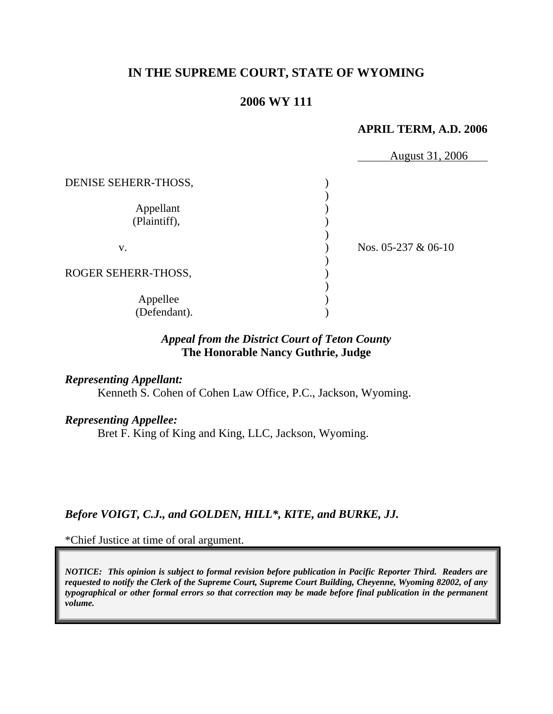# **IN THE SUPREME COURT, STATE OF WYOMING**

# **2006 WY 111**

## **APRIL TERM, A.D. 2006**

|                      | August 31, 2006       |
|----------------------|-----------------------|
| DENISE SEHERR-THOSS, |                       |
|                      |                       |
| Appellant            |                       |
| (Plaintiff),         |                       |
|                      |                       |
| V.                   | Nos. $05-237 & 06-10$ |
|                      |                       |
| ROGER SEHERR-THOSS,  |                       |
|                      |                       |
| Appellee             |                       |
| (Defendant).         |                       |

# *Appeal from the District Court of Teton County* **The Honorable Nancy Guthrie, Judge**

## *Representing Appellant:*

Kenneth S. Cohen of Cohen Law Office, P.C., Jackson, Wyoming.

### *Representing Appellee:*

Bret F. King of King and King, LLC, Jackson, Wyoming.

# *Before VOIGT, C.J., and GOLDEN, HILL\*, KITE, and BURKE, JJ.*

\*Chief Justice at time of oral argument.

*NOTICE: This opinion is subject to formal revision before publication in Pacific Reporter Third. Readers are requested to notify the Clerk of the Supreme Court, Supreme Court Building, Cheyenne, Wyoming 82002, of any typographical or other formal errors so that correction may be made before final publication in the permanent volume.*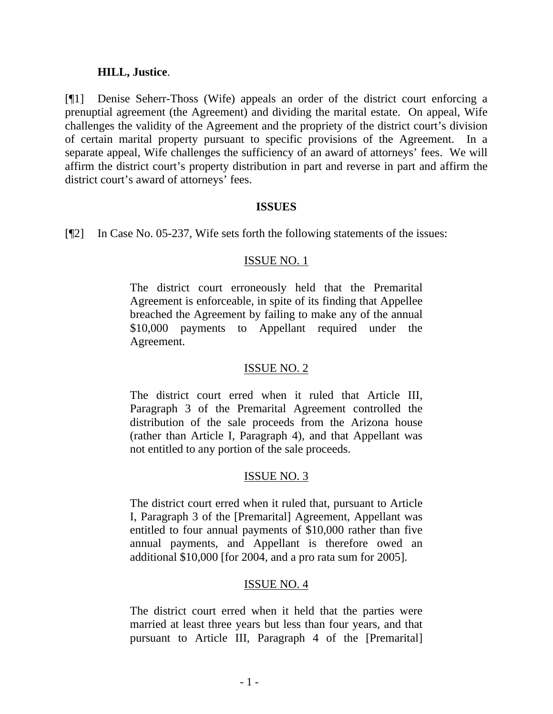## **HILL, Justice**.

[¶1] Denise Seherr-Thoss (Wife) appeals an order of the district court enforcing a prenuptial agreement (the Agreement) and dividing the marital estate. On appeal, Wife challenges the validity of the Agreement and the propriety of the district court's division of certain marital property pursuant to specific provisions of the Agreement. In a separate appeal, Wife challenges the sufficiency of an award of attorneys' fees. We will affirm the district court's property distribution in part and reverse in part and affirm the district court's award of attorneys' fees.

## **ISSUES**

[¶2] In Case No. 05-237, Wife sets forth the following statements of the issues:

## ISSUE NO. 1

The district court erroneously held that the Premarital Agreement is enforceable, in spite of its finding that Appellee breached the Agreement by failing to make any of the annual \$10,000 payments to Appellant required under the Agreement.

## ISSUE NO. 2

The district court erred when it ruled that Article III, Paragraph 3 of the Premarital Agreement controlled the distribution of the sale proceeds from the Arizona house (rather than Article I, Paragraph 4), and that Appellant was not entitled to any portion of the sale proceeds.

# ISSUE NO. 3

The district court erred when it ruled that, pursuant to Article I, Paragraph 3 of the [Premarital] Agreement, Appellant was entitled to four annual payments of \$10,000 rather than five annual payments, and Appellant is therefore owed an additional \$10,000 [for 2004, and a pro rata sum for 2005].

# ISSUE NO. 4

The district court erred when it held that the parties were married at least three years but less than four years, and that pursuant to Article III, Paragraph 4 of the [Premarital]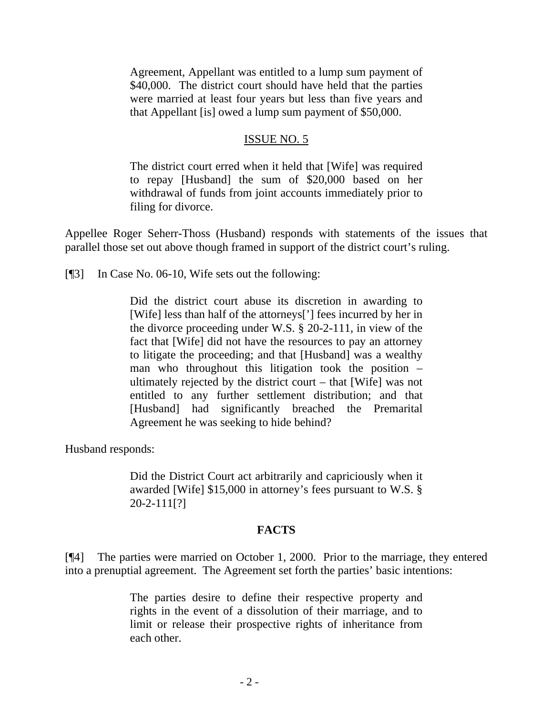Agreement, Appellant was entitled to a lump sum payment of \$40,000. The district court should have held that the parties were married at least four years but less than five years and that Appellant [is] owed a lump sum payment of \$50,000.

## ISSUE NO. 5

The district court erred when it held that [Wife] was required to repay [Husband] the sum of \$20,000 based on her withdrawal of funds from joint accounts immediately prior to filing for divorce.

Appellee Roger Seherr-Thoss (Husband) responds with statements of the issues that parallel those set out above though framed in support of the district court's ruling.

[¶3] In Case No. 06-10, Wife sets out the following:

Did the district court abuse its discretion in awarding to [Wife] less than half of the attorneys['] fees incurred by her in the divorce proceeding under W.S. § 20-2-111, in view of the fact that [Wife] did not have the resources to pay an attorney to litigate the proceeding; and that [Husband] was a wealthy man who throughout this litigation took the position – ultimately rejected by the district court – that [Wife] was not entitled to any further settlement distribution; and that [Husband] had significantly breached the Premarital Agreement he was seeking to hide behind?

Husband responds:

Did the District Court act arbitrarily and capriciously when it awarded [Wife] \$15,000 in attorney's fees pursuant to W.S. § 20-2-111[?]

## **FACTS**

[¶4] The parties were married on October 1, 2000. Prior to the marriage, they entered into a prenuptial agreement. The Agreement set forth the parties' basic intentions:

> The parties desire to define their respective property and rights in the event of a dissolution of their marriage, and to limit or release their prospective rights of inheritance from each other.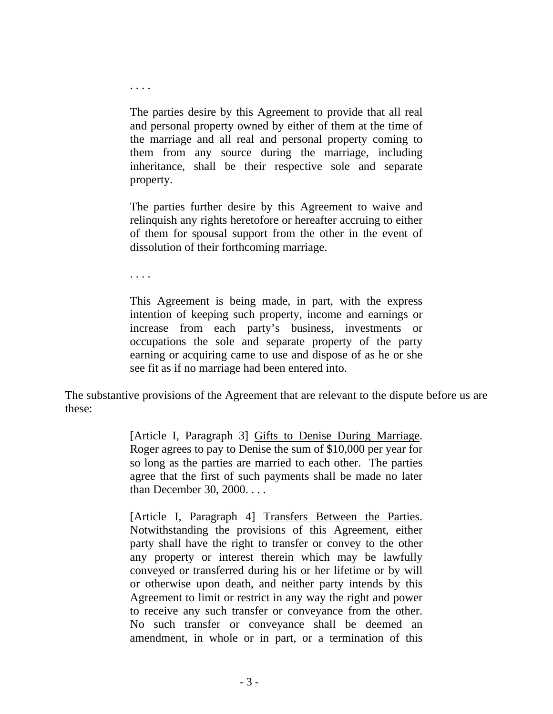The parties desire by this Agreement to provide that all real and personal property owned by either of them at the time of the marriage and all real and personal property coming to them from any source during the marriage, including inheritance, shall be their respective sole and separate property.

The parties further desire by this Agreement to waive and relinquish any rights heretofore or hereafter accruing to either of them for spousal support from the other in the event of dissolution of their forthcoming marriage.

. . . .

. . . .

This Agreement is being made, in part, with the express intention of keeping such property, income and earnings or increase from each party's business, investments or occupations the sole and separate property of the party earning or acquiring came to use and dispose of as he or she see fit as if no marriage had been entered into.

The substantive provisions of the Agreement that are relevant to the dispute before us are these:

> [Article I, Paragraph 3] Gifts to Denise During Marriage. Roger agrees to pay to Denise the sum of \$10,000 per year for so long as the parties are married to each other. The parties agree that the first of such payments shall be made no later than December 30, 2000. . . .

> [Article I, Paragraph 4] Transfers Between the Parties. Notwithstanding the provisions of this Agreement, either party shall have the right to transfer or convey to the other any property or interest therein which may be lawfully conveyed or transferred during his or her lifetime or by will or otherwise upon death, and neither party intends by this Agreement to limit or restrict in any way the right and power to receive any such transfer or conveyance from the other. No such transfer or conveyance shall be deemed an amendment, in whole or in part, or a termination of this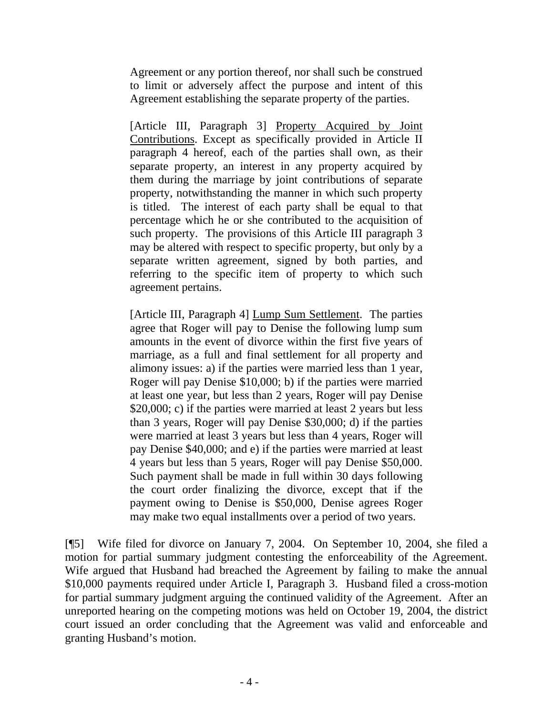Agreement or any portion thereof, nor shall such be construed to limit or adversely affect the purpose and intent of this Agreement establishing the separate property of the parties.

[Article III, Paragraph 3] Property Acquired by Joint Contributions. Except as specifically provided in Article II paragraph 4 hereof, each of the parties shall own, as their separate property, an interest in any property acquired by them during the marriage by joint contributions of separate property, notwithstanding the manner in which such property is titled. The interest of each party shall be equal to that percentage which he or she contributed to the acquisition of such property. The provisions of this Article III paragraph 3 may be altered with respect to specific property, but only by a separate written agreement, signed by both parties, and referring to the specific item of property to which such agreement pertains.

[Article III, Paragraph 4] Lump Sum Settlement. The parties agree that Roger will pay to Denise the following lump sum amounts in the event of divorce within the first five years of marriage, as a full and final settlement for all property and alimony issues: a) if the parties were married less than 1 year, Roger will pay Denise \$10,000; b) if the parties were married at least one year, but less than 2 years, Roger will pay Denise \$20,000; c) if the parties were married at least 2 years but less than 3 years, Roger will pay Denise \$30,000; d) if the parties were married at least 3 years but less than 4 years, Roger will pay Denise \$40,000; and e) if the parties were married at least 4 years but less than 5 years, Roger will pay Denise \$50,000. Such payment shall be made in full within 30 days following the court order finalizing the divorce, except that if the payment owing to Denise is \$50,000, Denise agrees Roger may make two equal installments over a period of two years.

[¶5] Wife filed for divorce on January 7, 2004. On September 10, 2004, she filed a motion for partial summary judgment contesting the enforceability of the Agreement. Wife argued that Husband had breached the Agreement by failing to make the annual \$10,000 payments required under Article I, Paragraph 3. Husband filed a cross-motion for partial summary judgment arguing the continued validity of the Agreement. After an unreported hearing on the competing motions was held on October 19, 2004, the district court issued an order concluding that the Agreement was valid and enforceable and granting Husband's motion.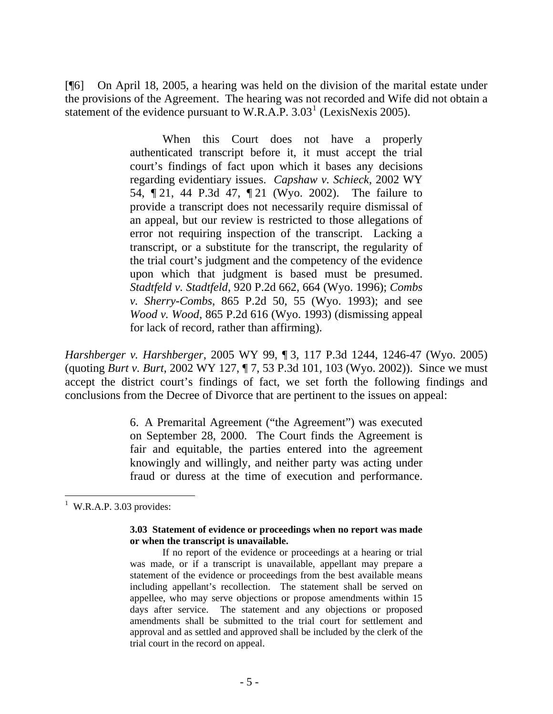[¶6] On April 18, 2005, a hearing was held on the division of the marital estate under the provisions of the Agreement. The hearing was not recorded and Wife did not obtain a statement of the evidence pursuant to W.R.A.P.  $3.03<sup>1</sup>$  $3.03<sup>1</sup>$  $3.03<sup>1</sup>$  (LexisNexis 2005).

> When this Court does not have a properly authenticated transcript before it, it must accept the trial court's findings of fact upon which it bases any decisions regarding evidentiary issues. *Capshaw v. Schieck*, 2002 WY 54, ¶ 21, 44 P.3d 47, ¶ 21 (Wyo. 2002). The failure to provide a transcript does not necessarily require dismissal of an appeal, but our review is restricted to those allegations of error not requiring inspection of the transcript. Lacking a transcript, or a substitute for the transcript, the regularity of the trial court's judgment and the competency of the evidence upon which that judgment is based must be presumed. *Stadtfeld v. Stadtfeld*, 920 P.2d 662, 664 (Wyo. 1996); *Combs v. Sherry-Combs*, 865 P.2d 50, 55 (Wyo. 1993); and see *Wood v. Wood*, 865 P.2d 616 (Wyo. 1993) (dismissing appeal for lack of record, rather than affirming).

*Harshberger v. Harshberger*, 2005 WY 99, ¶ 3, 117 P.3d 1244, 1246-47 (Wyo. 2005) (quoting *Burt v. Burt*, 2002 WY 127, ¶ 7, 53 P.3d 101, 103 (Wyo. 2002)). Since we must accept the district court's findings of fact, we set forth the following findings and conclusions from the Decree of Divorce that are pertinent to the issues on appeal:

> 6. A Premarital Agreement ("the Agreement") was executed on September 28, 2000. The Court finds the Agreement is fair and equitable, the parties entered into the agreement knowingly and willingly, and neither party was acting under fraud or duress at the time of execution and performance.

#### **3.03 Statement of evidence or proceedings when no report was made or when the transcript is unavailable.**

If no report of the evidence or proceedings at a hearing or trial was made, or if a transcript is unavailable, appellant may prepare a statement of the evidence or proceedings from the best available means including appellant's recollection. The statement shall be served on appellee, who may serve objections or propose amendments within 15 days after service. The statement and any objections or proposed amendments shall be submitted to the trial court for settlement and approval and as settled and approved shall be included by the clerk of the trial court in the record on appeal.

<span id="page-6-0"></span>  $<sup>1</sup>$  W.R.A.P. 3.03 provides:</sup>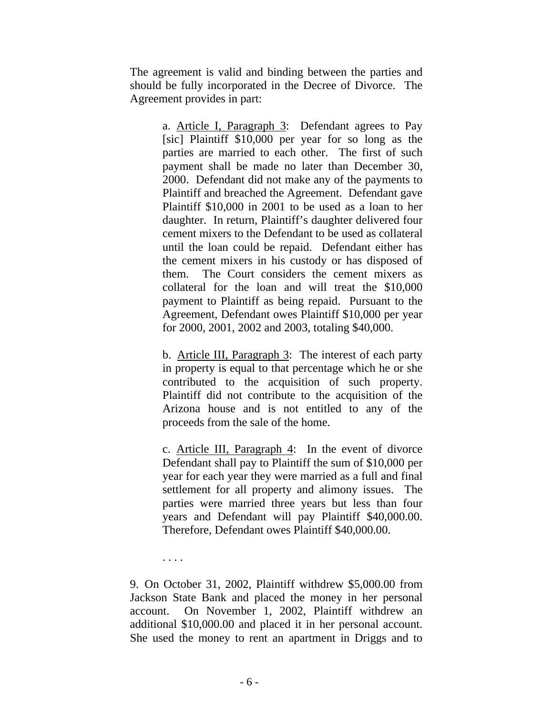The agreement is valid and binding between the parties and should be fully incorporated in the Decree of Divorce. The Agreement provides in part:

> a. Article I, Paragraph 3: Defendant agrees to Pay [sic] Plaintiff \$10,000 per year for so long as the parties are married to each other. The first of such payment shall be made no later than December 30, 2000. Defendant did not make any of the payments to Plaintiff and breached the Agreement. Defendant gave Plaintiff \$10,000 in 2001 to be used as a loan to her daughter. In return, Plaintiff's daughter delivered four cement mixers to the Defendant to be used as collateral until the loan could be repaid. Defendant either has the cement mixers in his custody or has disposed of them. The Court considers the cement mixers as collateral for the loan and will treat the \$10,000 payment to Plaintiff as being repaid. Pursuant to the Agreement, Defendant owes Plaintiff \$10,000 per year for 2000, 2001, 2002 and 2003, totaling \$40,000.

> b. Article III, Paragraph 3: The interest of each party in property is equal to that percentage which he or she contributed to the acquisition of such property. Plaintiff did not contribute to the acquisition of the Arizona house and is not entitled to any of the proceeds from the sale of the home.

> c. Article III, Paragraph 4: In the event of divorce Defendant shall pay to Plaintiff the sum of \$10,000 per year for each year they were married as a full and final settlement for all property and alimony issues. The parties were married three years but less than four years and Defendant will pay Plaintiff \$40,000.00. Therefore, Defendant owes Plaintiff \$40,000.00.

. . . .

9. On October 31, 2002, Plaintiff withdrew \$5,000.00 from Jackson State Bank and placed the money in her personal account. On November 1, 2002, Plaintiff withdrew an additional \$10,000.00 and placed it in her personal account. She used the money to rent an apartment in Driggs and to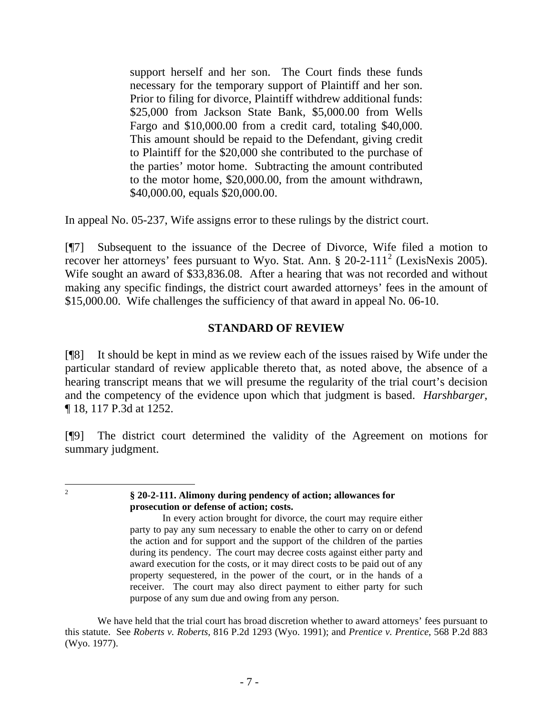support herself and her son. The Court finds these funds necessary for the temporary support of Plaintiff and her son. Prior to filing for divorce, Plaintiff withdrew additional funds: \$25,000 from Jackson State Bank, \$5,000.00 from Wells Fargo and \$10,000.00 from a credit card, totaling \$40,000. This amount should be repaid to the Defendant, giving credit to Plaintiff for the \$20,000 she contributed to the purchase of the parties' motor home. Subtracting the amount contributed to the motor home, \$20,000.00, from the amount withdrawn, \$40,000.00, equals \$20,000.00.

In appeal No. 05-237, Wife assigns error to these rulings by the district court.

[¶7] Subsequent to the issuance of the Decree of Divorce, Wife filed a motion to recover her attorneys' fees pursuant to Wyo. Stat. Ann. § [2](#page-8-0)0-2-111<sup>2</sup> (LexisNexis 2005). Wife sought an award of \$33,836.08. After a hearing that was not recorded and without making any specific findings, the district court awarded attorneys' fees in the amount of \$15,000.00. Wife challenges the sufficiency of that award in appeal No. 06-10.

# **STANDARD OF REVIEW**

[¶8] It should be kept in mind as we review each of the issues raised by Wife under the particular standard of review applicable thereto that, as noted above, the absence of a hearing transcript means that we will presume the regularity of the trial court's decision and the competency of the evidence upon which that judgment is based. *Harshbarger*, ¶ 18, 117 P.3d at 1252.

[¶9] The district court determined the validity of the Agreement on motions for summary judgment.

<span id="page-8-0"></span> $\frac{1}{2}$ 

#### **§ 20-2-111. Alimony during pendency of action; allowances for prosecution or defense of action; costs.**

We have held that the trial court has broad discretion whether to award attorneys' fees pursuant to this statute. See *Roberts v. Roberts*, 816 P.2d 1293 (Wyo. 1991); and *Prentice v. Prentice*, 568 P.2d 883 (Wyo. 1977).

In every action brought for divorce, the court may require either party to pay any sum necessary to enable the other to carry on or defend the action and for support and the support of the children of the parties during its pendency. The court may decree costs against either party and award execution for the costs, or it may direct costs to be paid out of any property sequestered, in the power of the court, or in the hands of a receiver. The court may also direct payment to either party for such purpose of any sum due and owing from any person.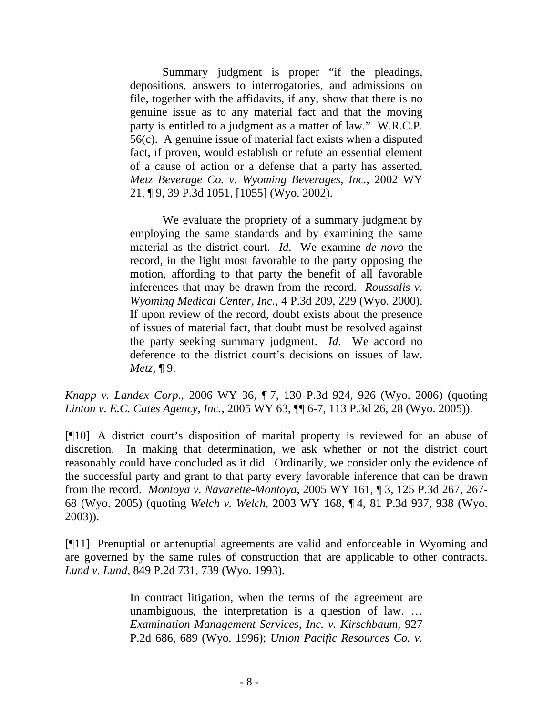Summary judgment is proper "if the pleadings, depositions, answers to interrogatories, and admissions on file, together with the affidavits, if any, show that there is no genuine issue as to any material fact and that the moving party is entitled to a judgment as a matter of law." W.R.C.P. 56(c). A genuine issue of material fact exists when a disputed fact, if proven, would establish or refute an essential element of a cause of action or a defense that a party has asserted. *Metz Beverage Co. v. Wyoming Beverages, Inc.*, 2002 WY 21, ¶ 9, 39 P.3d 1051, [1055] (Wyo. 2002).

We evaluate the propriety of a summary judgment by employing the same standards and by examining the same material as the district court. *Id*. We examine *de novo* the record, in the light most favorable to the party opposing the motion, affording to that party the benefit of all favorable inferences that may be drawn from the record. *Roussalis v. Wyoming Medical Center, Inc.*, 4 P.3d 209, 229 (Wyo. 2000). If upon review of the record, doubt exists about the presence of issues of material fact, that doubt must be resolved against the party seeking summary judgment. *Id*. We accord no deference to the district court's decisions on issues of law. *Metz*, ¶ 9.

*Knapp v. Landex Corp.*, 2006 WY 36, ¶ 7, 130 P.3d 924, 926 (Wyo. 2006) (quoting *Linton v. E.C. Cates Agency, Inc.*, 2005 WY 63, ¶¶ 6-7, 113 P.3d 26, 28 (Wyo. 2005)).

[¶10] A district court's disposition of marital property is reviewed for an abuse of discretion. In making that determination, we ask whether or not the district court reasonably could have concluded as it did. Ordinarily, we consider only the evidence of the successful party and grant to that party every favorable inference that can be drawn from the record. *Montoya v. Navarette-Montoya*, 2005 WY 161, ¶ 3, 125 P.3d 267, 267- 68 (Wyo. 2005) (quoting *Welch v. Welch*, 2003 WY 168, ¶ 4, 81 P.3d 937, 938 (Wyo. 2003)).

[¶11] Prenuptial or antenuptial agreements are valid and enforceable in Wyoming and are governed by the same rules of construction that are applicable to other contracts. *Lund v. Lund*, 849 P.2d 731, 739 (Wyo. 1993).

> In contract litigation, when the terms of the agreement are unambiguous, the interpretation is a question of law. … *Examination Management Services, Inc. v. Kirschbaum*, 927 P.2d 686, 689 (Wyo. 1996); *Union Pacific Resources Co. v.*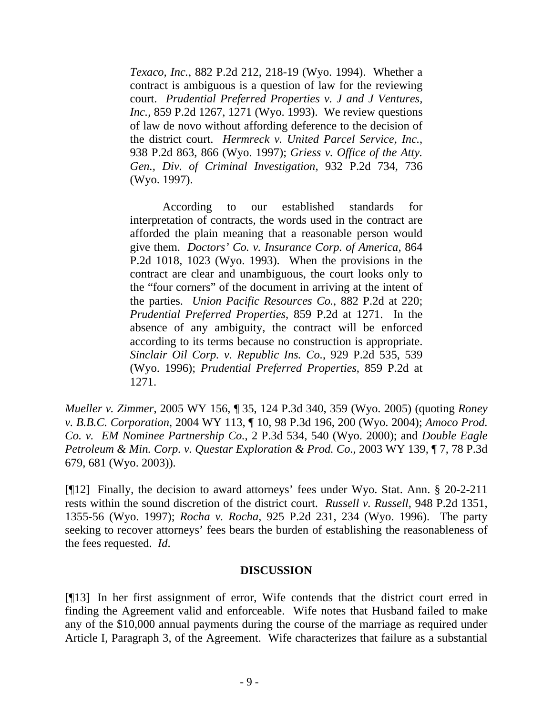*Texaco, Inc.*, 882 P.2d 212, 218-19 (Wyo. 1994). Whether a contract is ambiguous is a question of law for the reviewing court. *Prudential Preferred Properties v. J and J Ventures, Inc.*, 859 P.2d 1267, 1271 (Wyo. 1993). We review questions of law de novo without affording deference to the decision of the district court. *Hermreck v. United Parcel Service, Inc.*, 938 P.2d 863, 866 (Wyo. 1997); *Griess v. Office of the Atty. Gen., Div. of Criminal Investigation*, 932 P.2d 734, 736 (Wyo. 1997).

According to our established standards for interpretation of contracts, the words used in the contract are afforded the plain meaning that a reasonable person would give them. *Doctors' Co. v. Insurance Corp. of America*, 864 P.2d 1018, 1023 (Wyo. 1993). When the provisions in the contract are clear and unambiguous, the court looks only to the "four corners" of the document in arriving at the intent of the parties. *Union Pacific Resources Co.*, 882 P.2d at 220; *Prudential Preferred Properties*, 859 P.2d at 1271. In the absence of any ambiguity, the contract will be enforced according to its terms because no construction is appropriate. *Sinclair Oil Corp. v. Republic Ins. Co.*, 929 P.2d 535, 539 (Wyo. 1996); *Prudential Preferred Properties*, 859 P.2d at 1271.

*Mueller v. Zimmer*, 2005 WY 156, ¶ 35, 124 P.3d 340, 359 (Wyo. 2005) (quoting *Roney v. B.B.C. Corporation*, 2004 WY 113, ¶ 10, 98 P.3d 196, 200 (Wyo. 2004); *Amoco Prod. Co. v. EM Nominee Partnership Co.*, 2 P.3d 534, 540 (Wyo. 2000); and *Double Eagle Petroleum & Min. Corp. v. Questar Exploration & Prod. Co.*, 2003 WY 139, ¶ 7, 78 P.3d 679, 681 (Wyo. 2003)).

[¶12] Finally, the decision to award attorneys' fees under Wyo. Stat. Ann. § 20-2-211 rests within the sound discretion of the district court. *Russell v. Russell*, 948 P.2d 1351, 1355-56 (Wyo. 1997); *Rocha v. Rocha*, 925 P.2d 231, 234 (Wyo. 1996). The party seeking to recover attorneys' fees bears the burden of establishing the reasonableness of the fees requested. *Id*.

## **DISCUSSION**

[¶13] In her first assignment of error, Wife contends that the district court erred in finding the Agreement valid and enforceable. Wife notes that Husband failed to make any of the \$10,000 annual payments during the course of the marriage as required under Article I, Paragraph 3, of the Agreement. Wife characterizes that failure as a substantial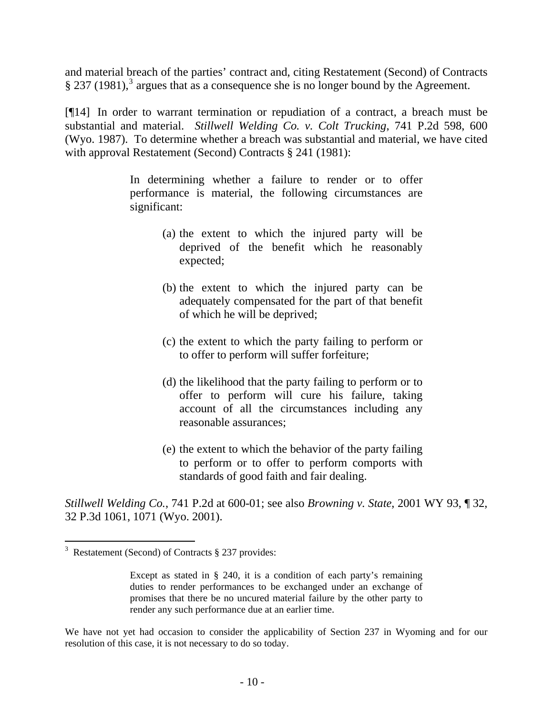and material breach of the parties' contract and, citing Restatement (Second) of Contracts  $\S 237 (1981),<sup>3</sup>$  $\S 237 (1981),<sup>3</sup>$  $\S 237 (1981),<sup>3</sup>$  argues that as a consequence she is no longer bound by the Agreement.

[¶14] In order to warrant termination or repudiation of a contract, a breach must be substantial and material. *Stillwell Welding Co. v. Colt Trucking*, 741 P.2d 598, 600 (Wyo. 1987). To determine whether a breach was substantial and material, we have cited with approval Restatement (Second) Contracts § 241 (1981):

> In determining whether a failure to render or to offer performance is material, the following circumstances are significant:

- (a) the extent to which the injured party will be deprived of the benefit which he reasonably expected;
- (b) the extent to which the injured party can be adequately compensated for the part of that benefit of which he will be deprived;
- (c) the extent to which the party failing to perform or to offer to perform will suffer forfeiture;
- (d) the likelihood that the party failing to perform or to offer to perform will cure his failure, taking account of all the circumstances including any reasonable assurances;
- (e) the extent to which the behavior of the party failing to perform or to offer to perform comports with standards of good faith and fair dealing.

*Stillwell Welding Co.*, 741 P.2d at 600-01; see also *Browning v. State*, 2001 WY 93, ¶ 32, 32 P.3d 1061, 1071 (Wyo. 2001).

 $\overline{a}$ 

We have not yet had occasion to consider the applicability of Section 237 in Wyoming and for our resolution of this case, it is not necessary to do so today.

<span id="page-11-0"></span><sup>&</sup>lt;sup>3</sup> Restatement (Second) of Contracts § 237 provides:

Except as stated in § 240, it is a condition of each party's remaining duties to render performances to be exchanged under an exchange of promises that there be no uncured material failure by the other party to render any such performance due at an earlier time.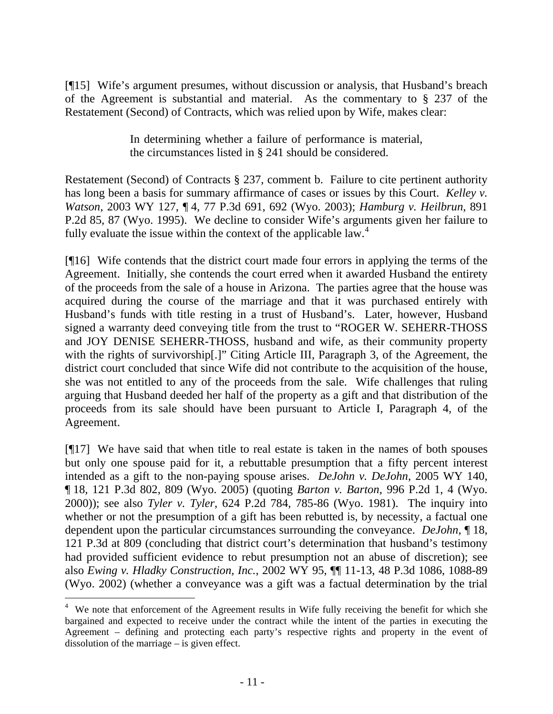[¶15] Wife's argument presumes, without discussion or analysis, that Husband's breach of the Agreement is substantial and material. As the commentary to § 237 of the Restatement (Second) of Contracts, which was relied upon by Wife, makes clear:

> In determining whether a failure of performance is material, the circumstances listed in § 241 should be considered.

Restatement (Second) of Contracts § 237, comment b. Failure to cite pertinent authority has long been a basis for summary affirmance of cases or issues by this Court. *Kelley v. Watson*, 2003 WY 127, ¶ 4, 77 P.3d 691, 692 (Wyo. 2003); *Hamburg v. Heilbrun*, 891 P.2d 85, 87 (Wyo. 1995). We decline to consider Wife's arguments given her failure to fully evaluate the issue within the context of the applicable law.<sup>[4](#page-12-0)</sup>

[¶16] Wife contends that the district court made four errors in applying the terms of the Agreement. Initially, she contends the court erred when it awarded Husband the entirety of the proceeds from the sale of a house in Arizona. The parties agree that the house was acquired during the course of the marriage and that it was purchased entirely with Husband's funds with title resting in a trust of Husband's. Later, however, Husband signed a warranty deed conveying title from the trust to "ROGER W. SEHERR-THOSS and JOY DENISE SEHERR-THOSS, husband and wife, as their community property with the rights of survivorship[.]" Citing Article III, Paragraph 3, of the Agreement, the district court concluded that since Wife did not contribute to the acquisition of the house, she was not entitled to any of the proceeds from the sale. Wife challenges that ruling arguing that Husband deeded her half of the property as a gift and that distribution of the proceeds from its sale should have been pursuant to Article I, Paragraph 4, of the Agreement.

[¶17] We have said that when title to real estate is taken in the names of both spouses but only one spouse paid for it, a rebuttable presumption that a fifty percent interest intended as a gift to the non-paying spouse arises. *DeJohn v. DeJohn*, 2005 WY 140, ¶ 18, 121 P.3d 802, 809 (Wyo. 2005) (quoting *Barton v. Barton*, 996 P.2d 1, 4 (Wyo. 2000)); see also *Tyler v. Tyler*, 624 P.2d 784, 785-86 (Wyo. 1981). The inquiry into whether or not the presumption of a gift has been rebutted is, by necessity, a factual one dependent upon the particular circumstances surrounding the conveyance. *DeJohn*, ¶ 18, 121 P.3d at 809 (concluding that district court's determination that husband's testimony had provided sufficient evidence to rebut presumption not an abuse of discretion); see also *Ewing v. Hladky Construction, Inc.*, 2002 WY 95, ¶¶ 11-13, 48 P.3d 1086, 1088-89 (Wyo. 2002) (whether a conveyance was a gift was a factual determination by the trial

l

<span id="page-12-0"></span><sup>&</sup>lt;sup>4</sup> We note that enforcement of the Agreement results in Wife fully receiving the benefit for which she bargained and expected to receive under the contract while the intent of the parties in executing the Agreement – defining and protecting each party's respective rights and property in the event of dissolution of the marriage – is given effect.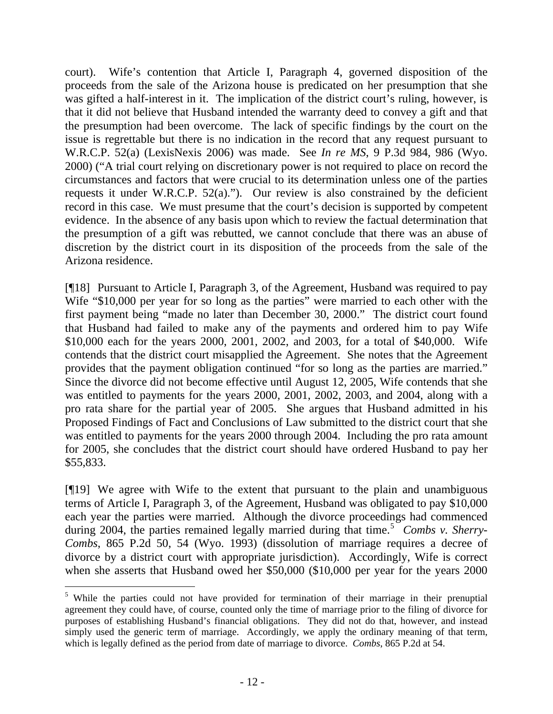court). Wife's contention that Article I, Paragraph 4, governed disposition of the proceeds from the sale of the Arizona house is predicated on her presumption that she was gifted a half-interest in it. The implication of the district court's ruling, however, is that it did not believe that Husband intended the warranty deed to convey a gift and that the presumption had been overcome. The lack of specific findings by the court on the issue is regrettable but there is no indication in the record that any request pursuant to W.R.C.P. 52(a) (LexisNexis 2006) was made. See *In re MS*, 9 P.3d 984, 986 (Wyo. 2000) ("A trial court relying on discretionary power is not required to place on record the circumstances and factors that were crucial to its determination unless one of the parties requests it under W.R.C.P. 52(a)."). Our review is also constrained by the deficient record in this case. We must presume that the court's decision is supported by competent evidence. In the absence of any basis upon which to review the factual determination that the presumption of a gift was rebutted, we cannot conclude that there was an abuse of discretion by the district court in its disposition of the proceeds from the sale of the Arizona residence.

[¶18] Pursuant to Article I, Paragraph 3, of the Agreement, Husband was required to pay Wife "\$10,000 per year for so long as the parties" were married to each other with the first payment being "made no later than December 30, 2000." The district court found that Husband had failed to make any of the payments and ordered him to pay Wife \$10,000 each for the years 2000, 2001, 2002, and 2003, for a total of \$40,000. Wife contends that the district court misapplied the Agreement. She notes that the Agreement provides that the payment obligation continued "for so long as the parties are married." Since the divorce did not become effective until August 12, 2005, Wife contends that she was entitled to payments for the years 2000, 2001, 2002, 2003, and 2004, along with a pro rata share for the partial year of 2005. She argues that Husband admitted in his Proposed Findings of Fact and Conclusions of Law submitted to the district court that she was entitled to payments for the years 2000 through 2004. Including the pro rata amount for 2005, she concludes that the district court should have ordered Husband to pay her \$55,833.

[¶19] We agree with Wife to the extent that pursuant to the plain and unambiguous terms of Article I, Paragraph 3, of the Agreement, Husband was obligated to pay \$10,000 each year the parties were married. Although the divorce proceedings had commenced during 2004, the parties remained legally married during that time.<sup>[5](#page-13-0)</sup> Combs v. Sherry-*Combs*, 865 P.2d 50, 54 (Wyo. 1993) (dissolution of marriage requires a decree of divorce by a district court with appropriate jurisdiction). Accordingly, Wife is correct when she asserts that Husband owed her \$50,000 (\$10,000 per year for the years 2000

<span id="page-13-0"></span> $\overline{a}$ <sup>5</sup> While the parties could not have provided for termination of their marriage in their prenuptial agreement they could have, of course, counted only the time of marriage prior to the filing of divorce for purposes of establishing Husband's financial obligations. They did not do that, however, and instead simply used the generic term of marriage. Accordingly, we apply the ordinary meaning of that term, which is legally defined as the period from date of marriage to divorce. *Combs*, 865 P.2d at 54.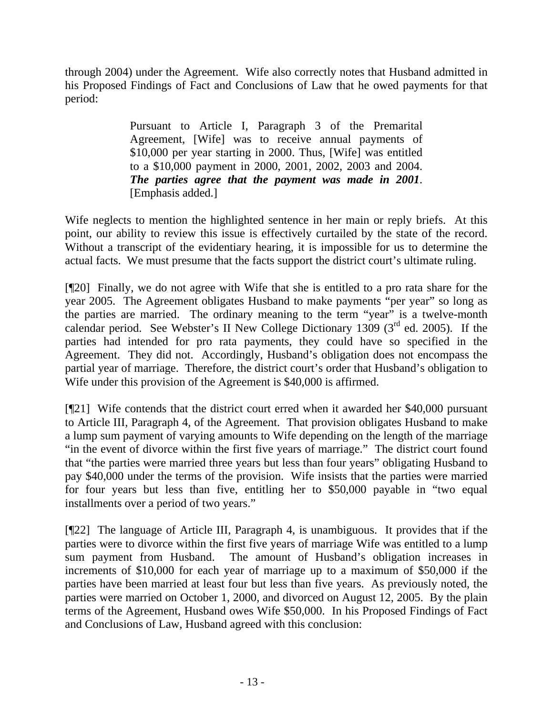through 2004) under the Agreement. Wife also correctly notes that Husband admitted in his Proposed Findings of Fact and Conclusions of Law that he owed payments for that period:

> Pursuant to Article I, Paragraph 3 of the Premarital Agreement, [Wife] was to receive annual payments of \$10,000 per year starting in 2000. Thus, [Wife] was entitled to a \$10,000 payment in 2000, 2001, 2002, 2003 and 2004. *The parties agree that the payment was made in 2001*. [Emphasis added.]

Wife neglects to mention the highlighted sentence in her main or reply briefs. At this point, our ability to review this issue is effectively curtailed by the state of the record. Without a transcript of the evidentiary hearing, it is impossible for us to determine the actual facts. We must presume that the facts support the district court's ultimate ruling.

[¶20] Finally, we do not agree with Wife that she is entitled to a pro rata share for the year 2005. The Agreement obligates Husband to make payments "per year" so long as the parties are married. The ordinary meaning to the term "year" is a twelve-month calendar period. See Webster's II New College Dictionary 1309 ( $3<sup>rd</sup>$  ed. 2005). If the parties had intended for pro rata payments, they could have so specified in the Agreement. They did not. Accordingly, Husband's obligation does not encompass the partial year of marriage. Therefore, the district court's order that Husband's obligation to Wife under this provision of the Agreement is \$40,000 is affirmed.

[¶21] Wife contends that the district court erred when it awarded her \$40,000 pursuant to Article III, Paragraph 4, of the Agreement. That provision obligates Husband to make a lump sum payment of varying amounts to Wife depending on the length of the marriage "in the event of divorce within the first five years of marriage." The district court found that "the parties were married three years but less than four years" obligating Husband to pay \$40,000 under the terms of the provision. Wife insists that the parties were married for four years but less than five, entitling her to \$50,000 payable in "two equal installments over a period of two years."

[¶22] The language of Article III, Paragraph 4, is unambiguous. It provides that if the parties were to divorce within the first five years of marriage Wife was entitled to a lump sum payment from Husband. The amount of Husband's obligation increases in increments of \$10,000 for each year of marriage up to a maximum of \$50,000 if the parties have been married at least four but less than five years. As previously noted, the parties were married on October 1, 2000, and divorced on August 12, 2005. By the plain terms of the Agreement, Husband owes Wife \$50,000. In his Proposed Findings of Fact and Conclusions of Law, Husband agreed with this conclusion: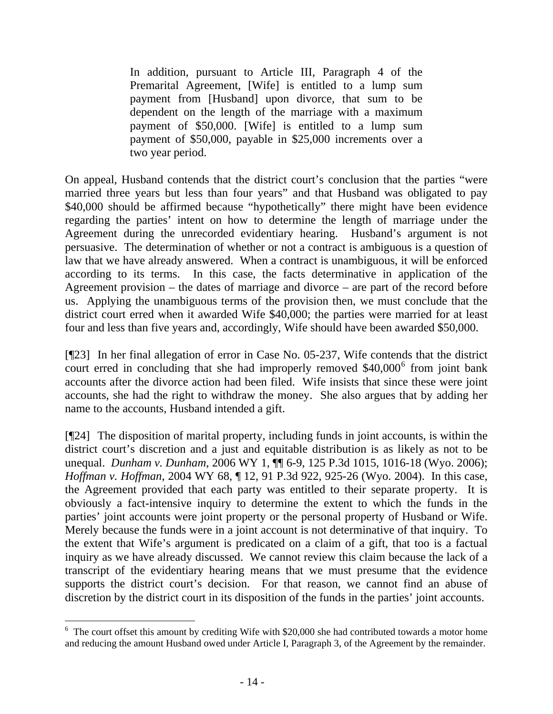In addition, pursuant to Article III, Paragraph 4 of the Premarital Agreement, [Wife] is entitled to a lump sum payment from [Husband] upon divorce, that sum to be dependent on the length of the marriage with a maximum payment of \$50,000. [Wife] is entitled to a lump sum payment of \$50,000, payable in \$25,000 increments over a two year period.

On appeal, Husband contends that the district court's conclusion that the parties "were married three years but less than four years" and that Husband was obligated to pay \$40,000 should be affirmed because "hypothetically" there might have been evidence regarding the parties' intent on how to determine the length of marriage under the Agreement during the unrecorded evidentiary hearing. Husband's argument is not persuasive. The determination of whether or not a contract is ambiguous is a question of law that we have already answered. When a contract is unambiguous, it will be enforced according to its terms. In this case, the facts determinative in application of the Agreement provision – the dates of marriage and divorce – are part of the record before us. Applying the unambiguous terms of the provision then, we must conclude that the district court erred when it awarded Wife \$40,000; the parties were married for at least four and less than five years and, accordingly, Wife should have been awarded \$50,000.

[¶23] In her final allegation of error in Case No. 05-237, Wife contends that the district court erred in concluding that she had improperly removed  $$40,000^6$  $$40,000^6$  from joint bank accounts after the divorce action had been filed. Wife insists that since these were joint accounts, she had the right to withdraw the money. She also argues that by adding her name to the accounts, Husband intended a gift.

[¶24] The disposition of marital property, including funds in joint accounts, is within the district court's discretion and a just and equitable distribution is as likely as not to be unequal. *Dunham v. Dunham*, 2006 WY 1, ¶¶ 6-9, 125 P.3d 1015, 1016-18 (Wyo. 2006); *Hoffman v. Hoffman*, 2004 WY 68, ¶ 12, 91 P.3d 922, 925-26 (Wyo. 2004). In this case, the Agreement provided that each party was entitled to their separate property. It is obviously a fact-intensive inquiry to determine the extent to which the funds in the parties' joint accounts were joint property or the personal property of Husband or Wife. Merely because the funds were in a joint account is not determinative of that inquiry. To the extent that Wife's argument is predicated on a claim of a gift, that too is a factual inquiry as we have already discussed. We cannot review this claim because the lack of a transcript of the evidentiary hearing means that we must presume that the evidence supports the district court's decision. For that reason, we cannot find an abuse of discretion by the district court in its disposition of the funds in the parties' joint accounts.

<span id="page-15-0"></span> $6$  The court offset this amount by crediting Wife with \$20,000 she had contributed towards a motor home and reducing the amount Husband owed under Article I, Paragraph 3, of the Agreement by the remainder.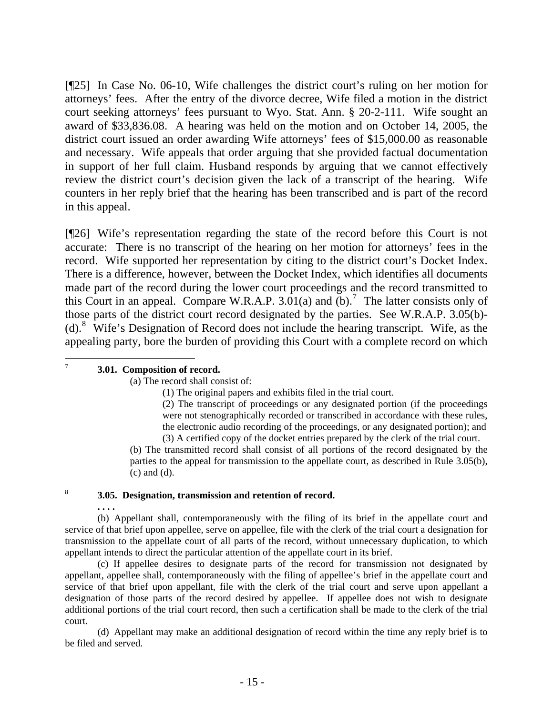[¶25] In Case No. 06-10, Wife challenges the district court's ruling on her motion for attorneys' fees. After the entry of the divorce decree, Wife filed a motion in the district court seeking attorneys' fees pursuant to Wyo. Stat. Ann. § 20-2-111. Wife sought an award of \$33,836.08. A hearing was held on the motion and on October 14, 2005, the district court issued an order awarding Wife attorneys' fees of \$15,000.00 as reasonable and necessary. Wife appeals that order arguing that she provided factual documentation in support of her full claim. Husband responds by arguing that we cannot effectively review the district court's decision given the lack of a transcript of the hearing. Wife counters in her reply brief that the hearing has been transcribed and is part of the record in this appeal.

[¶26] Wife's representation regarding the state of the record before this Court is not accurate: There is no transcript of the hearing on her motion for attorneys' fees in the record. Wife supported her representation by citing to the district court's Docket Index. There is a difference, however, between the Docket Index, which identifies all documents made part of the record during the lower court proceedings and the record transmitted to this Court in an appeal. Compare W.R.A.P.  $3.01(a)$  and  $(b)$ .<sup>[7](#page-16-0)</sup> The latter consists only of those parts of the district court record designated by the parties. See W.R.A.P. 3.05(b)- (d).[8](#page-16-1) Wife's Designation of Record does not include the hearing transcript. Wife, as the appealing party, bore the burden of providing this Court with a complete record on which

### **3.01. Composition of record.**

<span id="page-16-0"></span>-<br>7

(a) The record shall consist of:

(1) The original papers and exhibits filed in the trial court.

(2) The transcript of proceedings or any designated portion (if the proceedings were not stenographically recorded or transcribed in accordance with these rules, the electronic audio recording of the proceedings, or any designated portion); and (3) A certified copy of the docket entries prepared by the clerk of the trial court.

(b) The transmitted record shall consist of all portions of the record designated by the parties to the appeal for transmission to the appellate court, as described in Rule 3.05(b), (c) and (d).

#### <span id="page-16-1"></span>8 **3.05. Designation, transmission and retention of record.**

 **. . . .** 

(b) Appellant shall, contemporaneously with the filing of its brief in the appellate court and service of that brief upon appellee, serve on appellee, file with the clerk of the trial court a designation for transmission to the appellate court of all parts of the record, without unnecessary duplication, to which appellant intends to direct the particular attention of the appellate court in its brief.

 (c) If appellee desires to designate parts of the record for transmission not designated by appellant, appellee shall, contemporaneously with the filing of appellee's brief in the appellate court and service of that brief upon appellant, file with the clerk of the trial court and serve upon appellant a designation of those parts of the record desired by appellee. If appellee does not wish to designate additional portions of the trial court record, then such a certification shall be made to the clerk of the trial court.

 (d) Appellant may make an additional designation of record within the time any reply brief is to be filed and served.